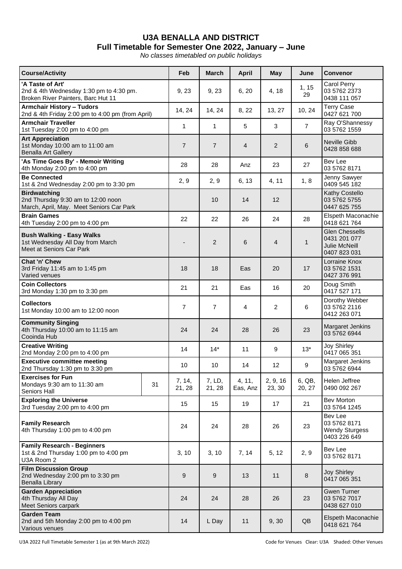## **U3A BENALLA AND DISTRICT Full Timetable for Semester One 2022, January – June**

*No classes timetabled on public holidays*

| <b>Course/Activity</b>                                                                                |    | Feb                      | <b>March</b>     | <b>April</b>       | May                | June             | <b>Convenor</b>                                                         |
|-------------------------------------------------------------------------------------------------------|----|--------------------------|------------------|--------------------|--------------------|------------------|-------------------------------------------------------------------------|
| 'A Taste of Art'<br>2nd & 4th Wednesday 1:30 pm to 4:30 pm.<br>Broken River Painters, Barc Hut 11     |    | 9, 23                    | 9, 23            | 6, 20              | 4, 18              | 1, 15<br>29      | Carol Perry<br>03 5762 2373<br>0438 111 057                             |
| <b>Armchair History - Tudors</b><br>2nd & 4th Friday 2:00 pm to 4:00 pm (from April)                  |    | 14, 24                   | 14, 24           | 8, 22              | 13, 27             | 10, 24           | <b>Terry Case</b><br>0427 621 700                                       |
| <b>Armchair Traveller</b><br>1st Tuesday 2:00 pm to 4:00 pm                                           |    | $\mathbf{1}$             | $\mathbf{1}$     | 5                  | 3                  | $\overline{7}$   | Ray O'Shannessy<br>03 5762 1559                                         |
| <b>Art Appreciation</b><br>1st Monday 10:00 am to 11:00 am<br><b>Benalla Art Gallery</b>              |    | $\overline{7}$           | $\overline{7}$   | $\overline{4}$     | $\overline{2}$     | 6                | Neville Gibb<br>0428 858 688                                            |
| 'As Time Goes By' - Memoir Writing<br>4th Monday 2:00 pm to 4:00 pm                                   |    | 28                       | 28               | Anz                | 23                 | 27               | Bev Lee<br>03 5762 8171                                                 |
| <b>Be Connected</b><br>1st & 2nd Wednesday 2:00 pm to 3:30 pm                                         |    | 2, 9                     | 2, 9             | 6, 13              | 4, 11              | 1, 8             | Jenny Sawyer<br>0409 545 182                                            |
| <b>Birdwatching</b><br>2nd Thursday 9:30 am to 12:00 noon<br>March, April, May. Meet Seniors Car Park |    |                          | 10               | 14                 | 12                 |                  | Kathy Costello<br>03 5762 5755<br>0447 625 755                          |
| <b>Brain Games</b><br>4th Tuesday 2:00 pm to 4:00 pm                                                  |    | 22                       | 22               | 26                 | 24                 | 28               | Elspeth Maconachie<br>0418 621 764                                      |
| <b>Bush Walking - Easy Walks</b><br>1st Wednesday All Day from March<br>Meet at Seniors Car Park      |    | $\overline{\phantom{a}}$ | $\overline{2}$   | 6                  | $\overline{4}$     | $\mathbf{1}$     | <b>Glen Chessells</b><br>0431 201 077<br>Julie McNeill<br>0407 823 031  |
| Chat 'n' Chew<br>3rd Friday 11:45 am to 1:45 pm<br>Varied venues                                      |    | 18                       | 18               | Eas                | 20                 | 17               | Lorraine Knox<br>03 5762 1531<br>0427 376 991                           |
| <b>Coin Collectors</b><br>3rd Monday 1:30 pm to 3:30 pm                                               |    | 21                       | 21               | Eas                | 16                 | 20               | Doug Smith<br>0417 527 171                                              |
| Collectors<br>1st Monday 10:00 am to 12:00 noon                                                       |    | $\overline{7}$           | $\overline{7}$   | 4                  | 2                  | 6                | Dorothy Webber<br>03 5762 2116<br>0412 263 071                          |
| <b>Community Singing</b><br>4th Thursday 10:00 am to 11:15 am<br>Cooinda Hub                          |    | 24                       | 24               | 28                 | 26                 | 23               | Margaret Jenkins<br>03 5762 6944                                        |
| <b>Creative Writing</b><br>2nd Monday 2:00 pm to 4:00 pm                                              |    | 14                       | $14*$            | 11                 | 9                  | $13*$            | Joy Shirley<br>0417 065 351                                             |
| <b>Executive committee meeting</b><br>2nd Thursday 1:30 pm to 3:30 pm                                 |    | 10                       | 10               | 14                 | 12                 | 9                | Margaret Jenkins<br>03 5762 6944                                        |
| <b>Exercises for Fun</b><br>Mondays 9:30 am to 11:30 am<br>Seniors Hall                               | 31 | 7, 14,<br>21, 28         | 7, LD,<br>21, 28 | 4, 11,<br>Eas, Anz | 2, 9, 16<br>23, 30 | 6, QB,<br>20, 27 | Helen Jeffree<br>0490 092 267                                           |
| <b>Exploring the Universe</b><br>3rd Tuesday 2:00 pm to 4:00 pm                                       |    | 15                       | 15               | 19                 | 17                 | 21               | Bev Morton<br>03 5764 1245                                              |
| <b>Family Research</b><br>4th Thursday 1:00 pm to 4:00 pm                                             |    | 24                       | 24               | 28                 | 26                 | 23               | <b>Bev Lee</b><br>03 5762 8171<br><b>Wendy Sturgess</b><br>0403 226 649 |
| <b>Family Research - Beginners</b><br>1st & 2nd Thursday 1:00 pm to 4:00 pm<br>U3A Room 2             |    | 3, 10                    | 3, 10            | 7, 14              | 5, 12              | 2, 9             | Bev Lee<br>03 5762 8171                                                 |
| <b>Film Discussion Group</b><br>2nd Wednesday 2:00 pm to 3:30 pm<br><b>Benalla Library</b>            |    | 9                        | 9                | 13                 | 11                 | 8                | <b>Joy Shirley</b><br>0417 065 351                                      |
| <b>Garden Appreciation</b><br>4th Thursday All Day<br>Meet Seniors carpark                            |    | 24                       | 24               | 28                 | 26                 | 23               | <b>Gwen Turner</b><br>03 5762 7017<br>0438 627 010                      |
| <b>Garden Team</b><br>2nd and 5th Monday 2:00 pm to 4:00 pm<br>Various venues                         |    | 14                       | L Day            | 11                 | 9, 30              | QB               | Elspeth Maconachie<br>0418 621 764                                      |